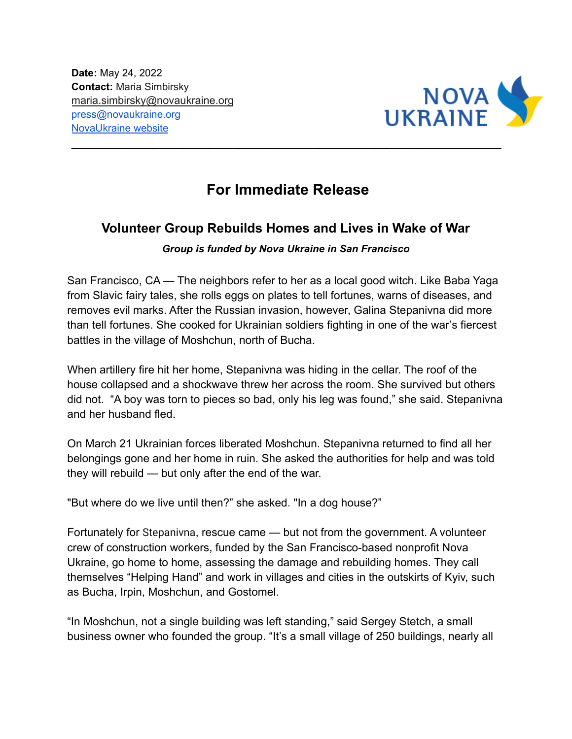**Date:** May 24, 2022 **Contact:** Maria Simbirsky maria.simbirsky@novaukraine.org [press@novaukraine.org](mailto:press@novaukraine.org) [NovaUkraine](https://novaukraine.org) website



## **For Immediate Release**

**\_\_\_\_\_\_\_\_\_\_\_\_\_\_\_\_\_\_\_\_\_\_\_\_\_\_\_\_\_\_\_\_\_\_\_\_\_\_\_\_\_\_\_\_\_\_\_\_\_\_\_\_\_\_\_\_\_\_\_\_\_\_\_\_\_\_\_\_\_**

## **Volunteer Group Rebuilds Homes and Lives in Wake of War**

## *Group is funded by Nova Ukraine in San Francisco*

San Francisco, CA — The neighbors refer to her as a local good witch. Like Baba Yaga from Slavic fairy tales, she rolls eggs on plates to tell fortunes, warns of diseases, and removes evil marks. After the Russian invasion, however, Galina Stepanivna did more than tell fortunes. She cooked for Ukrainian soldiers fighting in one of the war's fiercest battles in the village of Moshchun, north of Bucha.

When artillery fire hit her home, Stepanivna was hiding in the cellar. The roof of the house collapsed and a shockwave threw her across the room. She survived but others did not. "A boy was torn to pieces so bad, only his leg was found," she said. Stepanivna and her husband fled.

On March 21 Ukrainian forces liberated Moshchun. Stepanivna returned to find all her belongings gone and her home in ruin. She asked the authorities for help and was told they will rebuild — but only after the end of the war.

"But where do we live until then?" she asked. "In a dog house?"

Fortunately for Stepanivna, rescue came — but not from the government. A volunteer crew of construction workers, funded by the San Francisco-based nonprofit Nova Ukraine, go home to home, assessing the damage and rebuilding homes. They call themselves "Helping Hand" and work in villages and cities in the outskirts of Kyiv, such as Bucha, Irpin, Moshchun, and Gostomel.

"In Moshchun, not a single building was left standing," said Sergey Stetch, a small business owner who founded the group. "It's a small village of 250 buildings, nearly all